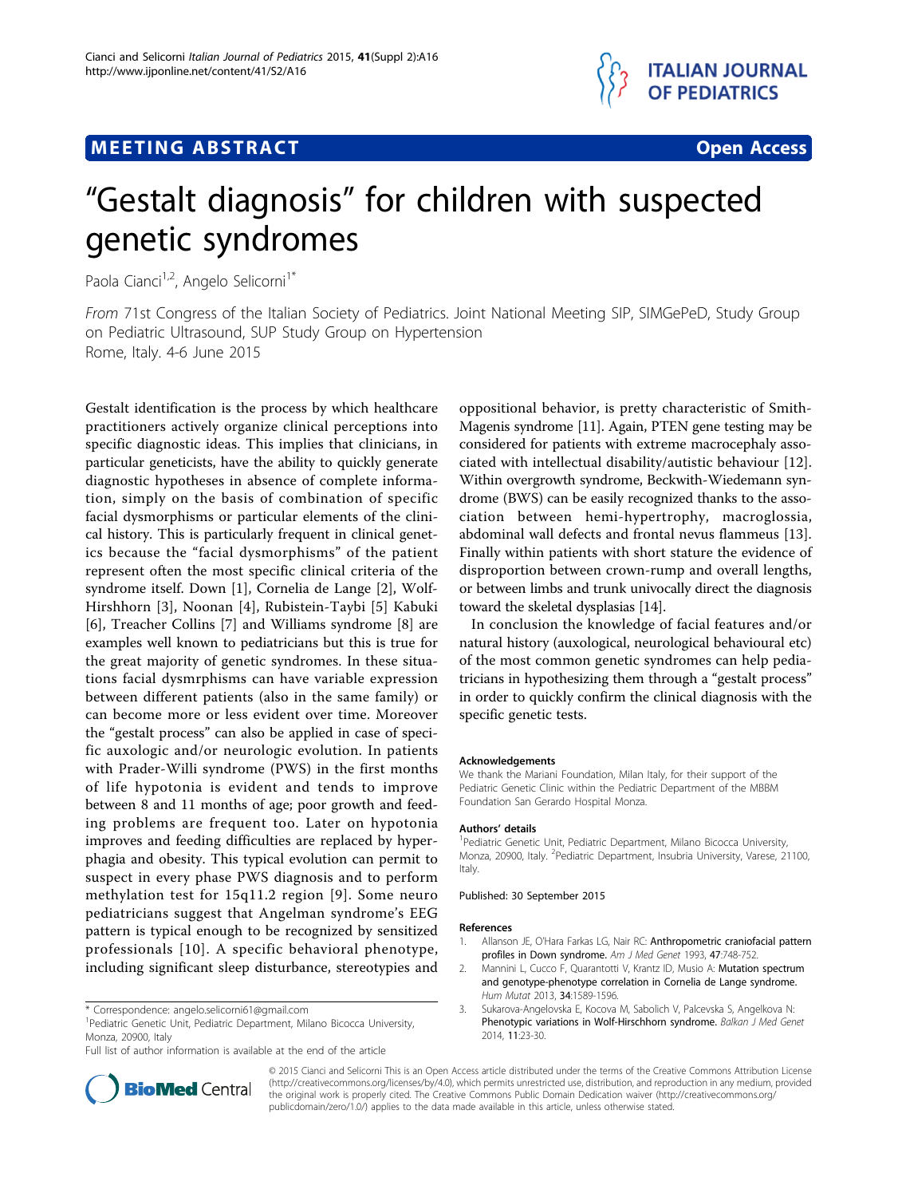## **MEETING ABSTRACT And CONSTRACT CONSTRACT CONSTRACT**



# "Gestalt diagnosis" for children with suspected genetic syndromes

Paola Cianci<sup>1,2</sup>, Angelo Selicorni<sup>1\*</sup>

From 71st Congress of the Italian Society of Pediatrics. Joint National Meeting SIP, SIMGePeD, Study Group on Pediatric Ultrasound, SUP Study Group on Hypertension Rome, Italy. 4-6 June 2015

Gestalt identification is the process by which healthcare practitioners actively organize clinical perceptions into specific diagnostic ideas. This implies that clinicians, in particular geneticists, have the ability to quickly generate diagnostic hypotheses in absence of complete information, simply on the basis of combination of specific facial dysmorphisms or particular elements of the clinical history. This is particularly frequent in clinical genetics because the "facial dysmorphisms" of the patient represent often the most specific clinical criteria of the syndrome itself. Down [1], Cornelia de Lange [2], Wolf-Hirshhorn [3], Noonan [[4\]](#page-1-0), Rubistein-Taybi [\[5](#page-1-0)] Kabuki [[6\]](#page-1-0), Treacher Collins [\[7](#page-1-0)] and Williams syndrome [[8](#page-1-0)] are examples well known to pediatricians but this is true for the great majority of genetic syndromes. In these situations facial dysmrphisms can have variable expression between different patients (also in the same family) or can become more or less evident over time. Moreover the "gestalt process" can also be applied in case of specific auxologic and/or neurologic evolution. In patients with Prader-Willi syndrome (PWS) in the first months of life hypotonia is evident and tends to improve between 8 and 11 months of age; poor growth and feeding problems are frequent too. Later on hypotonia improves and feeding difficulties are replaced by hyperphagia and obesity. This typical evolution can permit to suspect in every phase PWS diagnosis and to perform methylation test for 15q11.2 region [[9\]](#page-1-0). Some neuro pediatricians suggest that Angelman syndrome's EEG pattern is typical enough to be recognized by sensitized professionals [[10](#page-1-0)]. A specific behavioral phenotype, including significant sleep disturbance, stereotypies and

<sup>1</sup> Pediatric Genetic Unit, Pediatric Department, Milano Bicocca University, Monza, 20900, Italy

Full list of author information is available at the end of the article



oppositional behavior, is pretty characteristic of Smith-Magenis syndrome [\[11\]](#page-1-0). Again, PTEN gene testing may be considered for patients with extreme macrocephaly associated with intellectual disability/autistic behaviour [\[12](#page-1-0)]. Within overgrowth syndrome, Beckwith-Wiedemann syndrome (BWS) can be easily recognized thanks to the association between hemi-hypertrophy, macroglossia, abdominal wall defects and frontal nevus flammeus [\[13](#page-1-0)]. Finally within patients with short stature the evidence of disproportion between crown-rump and overall lengths, or between limbs and trunk univocally direct the diagnosis toward the skeletal dysplasias [\[14\]](#page-1-0).

In conclusion the knowledge of facial features and/or natural history (auxological, neurological behavioural etc) of the most common genetic syndromes can help pediatricians in hypothesizing them through a "gestalt process" in order to quickly confirm the clinical diagnosis with the specific genetic tests.

#### Acknowledgements

We thank the Mariani Foundation, Milan Italy, for their support of the Pediatric Genetic Clinic within the Pediatric Department of the MBBM Foundation San Gerardo Hospital Monza.

#### Authors' details <sup>1</sup>

<sup>1</sup> Pediatric Genetic Unit, Pediatric Department, Milano Bicocca University, Monza, 20900, Italy. <sup>2</sup> Pediatric Department, Insubria University, Varese, 21100 Italy.

Published: 30 September 2015

#### References

- 1. Allanson JE, O'Hara Farkas LG, Nair RC: [Anthropometric craniofacial pattern](http://www.ncbi.nlm.nih.gov/pubmed/8267006?dopt=Abstract) [profiles in Down syndrome.](http://www.ncbi.nlm.nih.gov/pubmed/8267006?dopt=Abstract) Am J Med Genet 1993, 47:748-752.
- 2. Mannini L, Cucco F, Quarantotti V, Krantz ID, Musio A: [Mutation spectrum](http://www.ncbi.nlm.nih.gov/pubmed/24038889?dopt=Abstract) [and genotype-phenotype correlation in Cornelia de Lange syndrome.](http://www.ncbi.nlm.nih.gov/pubmed/24038889?dopt=Abstract) Hum Mutat 2013, 34:1589-1596.
- 3. Sukarova-Angelovska E, Kocova M, Sabolich V, Palcevska S, Angelkova N: [Phenotypic variations in Wolf-Hirschhorn syndrome.](http://www.ncbi.nlm.nih.gov/pubmed/25741211?dopt=Abstract) Balkan J Med Genet 2014, 11:23-30.

© 2015 Cianci and Selicorni This is an Open Access article distributed under the terms of the Creative Commons Attribution License [\(http://creativecommons.org/licenses/by/4.0](http://creativecommons.org/licenses/by/4.0)), which permits unrestricted use, distribution, and reproduction in any medium, provided the original work is properly cited. The Creative Commons Public Domain Dedication waiver ([http://creativecommons.org/](http://creativecommons.org/publicdomain/zero/1.0/) [publicdomain/zero/1.0/](http://creativecommons.org/publicdomain/zero/1.0/)) applies to the data made available in this article, unless otherwise stated.

<sup>\*</sup> Correspondence: [angelo.selicorni61@gmail.com](mailto:angelo.selicorni61@gmail.com)